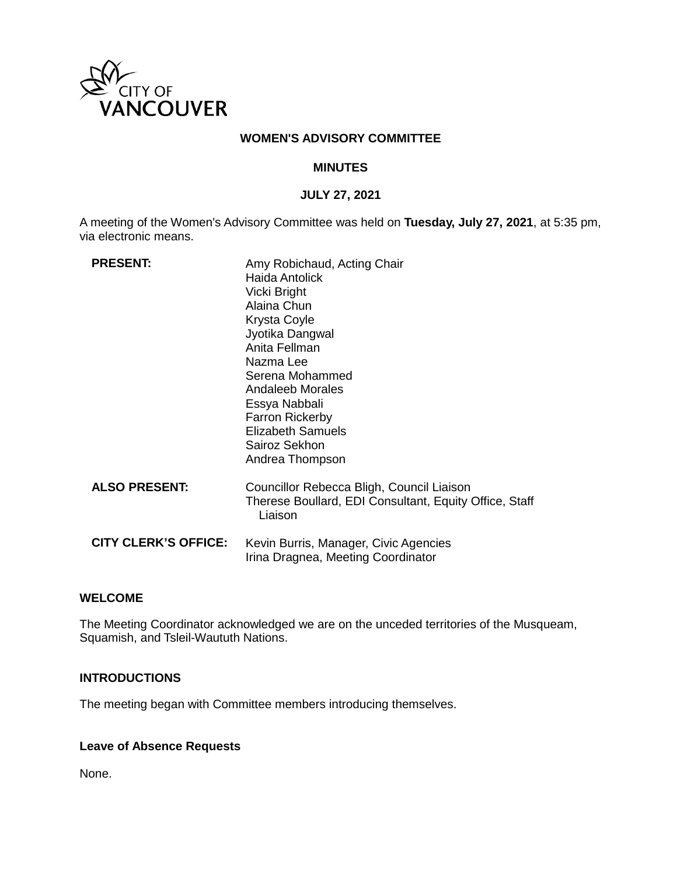

### **WOMEN'S ADVISORY COMMITTEE**

### **MINUTES**

## **JULY 27, 2021**

A meeting of the Women's Advisory Committee was held on **Tuesday, July 27, 2021**, at 5:35 pm, via electronic means.

| <b>PRESENT:</b>             | Amy Robichaud, Acting Chair<br><b>Haida Antolick</b><br>Vicki Bright<br>Alaina Chun<br>Krysta Coyle<br>Jyotika Dangwal<br>Anita Fellman<br>Nazma Lee<br>Serena Mohammed<br>Andaleeb Morales<br>Essya Nabbali<br><b>Farron Rickerby</b><br>Elizabeth Samuels<br>Sairoz Sekhon<br>Andrea Thompson |
|-----------------------------|-------------------------------------------------------------------------------------------------------------------------------------------------------------------------------------------------------------------------------------------------------------------------------------------------|
| <b>ALSO PRESENT:</b>        | Councillor Rebecca Bligh, Council Liaison<br>Therese Boullard, EDI Consultant, Equity Office, Staff<br>Liaison                                                                                                                                                                                  |
| <b>CITY CLERK'S OFFICE:</b> | Kevin Burris, Manager, Civic Agencies<br>Irina Dragnea, Meeting Coordinator                                                                                                                                                                                                                     |

## **WELCOME**

The Meeting Coordinator acknowledged we are on the unceded territories of the Musqueam, Squamish, and Tsleil-Waututh Nations.

## **INTRODUCTIONS**

The meeting began with Committee members introducing themselves.

# **Leave of Absence Requests**

None.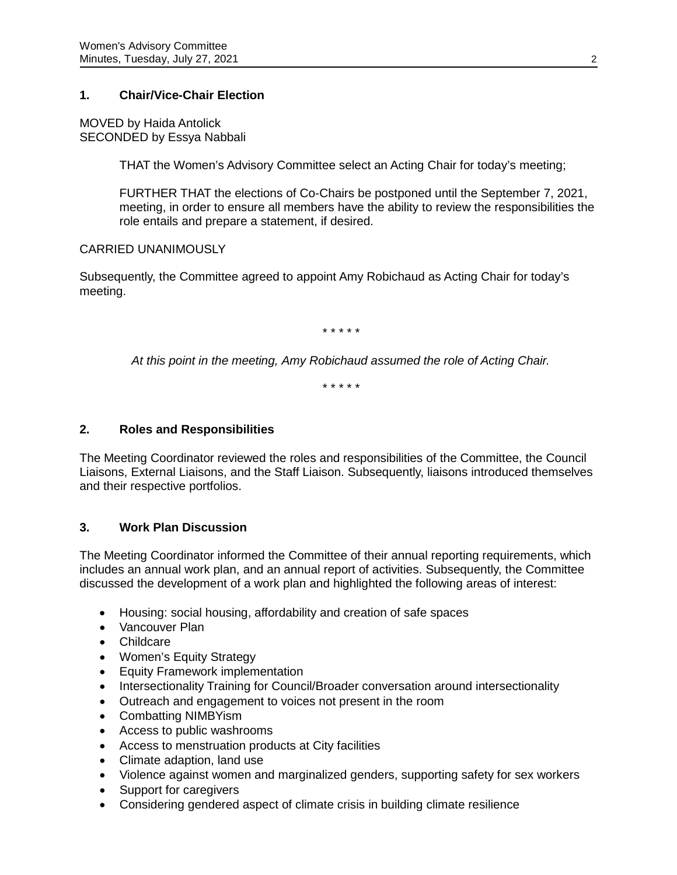# **1. Chair/Vice-Chair Election**

MOVED by Haida Antolick SECONDED by Essya Nabbali

THAT the Women's Advisory Committee select an Acting Chair for today's meeting;

FURTHER THAT the elections of Co-Chairs be postponed until the September 7, 2021, meeting, in order to ensure all members have the ability to review the responsibilities the role entails and prepare a statement, if desired.

## CARRIED UNANIMOUSLY

Subsequently, the Committee agreed to appoint Amy Robichaud as Acting Chair for today's meeting.

*\* \* \* \* \**

*At this point in the meeting, Amy Robichaud assumed the role of Acting Chair.*

*\* \* \* \* \**

## **2. Roles and Responsibilities**

The Meeting Coordinator reviewed the roles and responsibilities of the Committee, the Council Liaisons, External Liaisons, and the Staff Liaison. Subsequently, liaisons introduced themselves and their respective portfolios.

# **3. Work Plan Discussion**

The Meeting Coordinator informed the Committee of their annual reporting requirements, which includes an annual work plan, and an annual report of activities. Subsequently, the Committee discussed the development of a work plan and highlighted the following areas of interest:

- Housing: social housing, affordability and creation of safe spaces
- Vancouver Plan
- Childcare
- Women's Equity Strategy
- Equity Framework implementation
- Intersectionality Training for Council/Broader conversation around intersectionality
- Outreach and engagement to voices not present in the room
- Combatting NIMBYism
- Access to public washrooms
- Access to menstruation products at City facilities
- Climate adaption, land use
- Violence against women and marginalized genders, supporting safety for sex workers
- Support for caregivers
- Considering gendered aspect of climate crisis in building climate resilience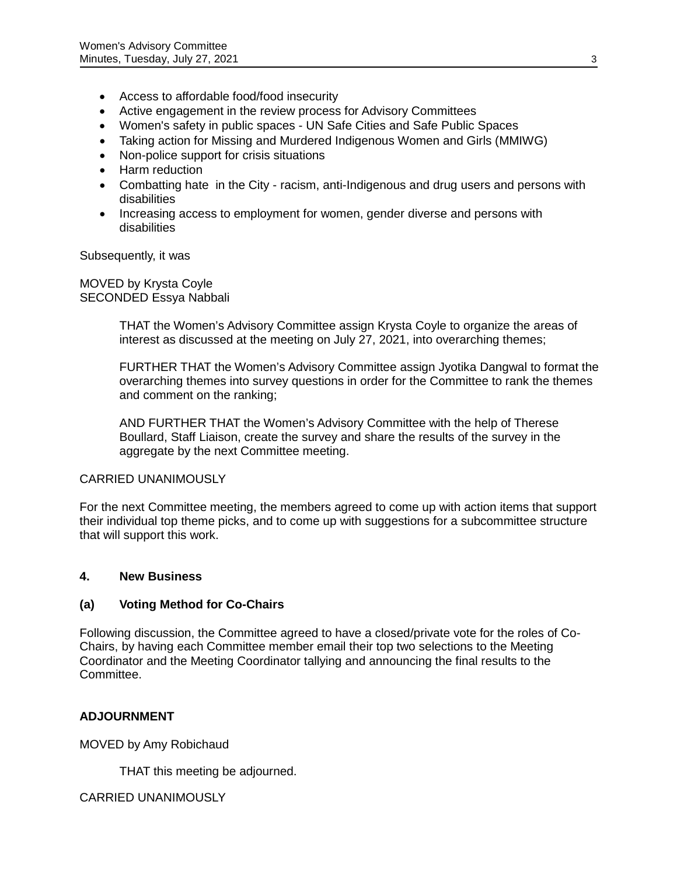- Access to affordable food/food insecurity
- Active engagement in the review process for Advisory Committees
- Women's safety in public spaces UN Safe Cities and Safe Public Spaces
- Taking action for Missing and Murdered Indigenous Women and Girls (MMIWG)
- Non-police support for crisis situations
- Harm reduction
- Combatting hate in the City racism, anti-Indigenous and drug users and persons with disabilities
- Increasing access to employment for women, gender diverse and persons with disabilities

Subsequently, it was

MOVED by Krysta Coyle SECONDED Essya Nabbali

> THAT the Women's Advisory Committee assign Krysta Coyle to organize the areas of interest as discussed at the meeting on July 27, 2021, into overarching themes;

FURTHER THAT the Women's Advisory Committee assign Jyotika Dangwal to format the overarching themes into survey questions in order for the Committee to rank the themes and comment on the ranking;

AND FURTHER THAT the Women's Advisory Committee with the help of Therese Boullard, Staff Liaison, create the survey and share the results of the survey in the aggregate by the next Committee meeting.

### CARRIED UNANIMOUSLY

For the next Committee meeting, the members agreed to come up with action items that support their individual top theme picks, and to come up with suggestions for a subcommittee structure that will support this work.

### **4. New Business**

# **(a) Voting Method for Co-Chairs**

Following discussion, the Committee agreed to have a closed/private vote for the roles of Co-Chairs, by having each Committee member email their top two selections to the Meeting Coordinator and the Meeting Coordinator tallying and announcing the final results to the Committee.

# **ADJOURNMENT**

MOVED by Amy Robichaud

THAT this meeting be adjourned.

### CARRIED UNANIMOUSLY